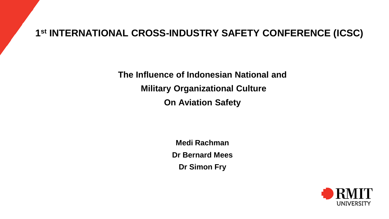### **1 st INTERNATIONAL CROSS-INDUSTRY SAFETY CONFERENCE (ICSC)**

**The Influence of Indonesian National and Military Organizational Culture On Aviation Safety**

> **Medi Rachman Dr Bernard Mees Dr Simon Fry**

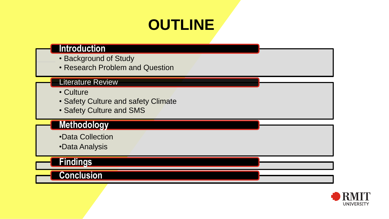# **OUTLINE**

#### **Introduction**

- Background of Study
- Research Problem and Question

#### Literature Review

- Culture
- Safety Culture and safety Climate
- Safety Culture and SMS

#### **Methodology**

- •Data Collection
- •Data Analysis

### **Findings**

#### **Conclusion**

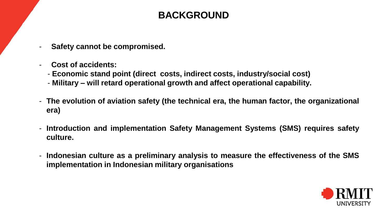## **BACKGROUND**

- **Safety cannot be compromised.**
- **Cost of accidents:**
	- **Economic stand point (direct costs, indirect costs, industry/social cost)**
	- **Military – will retard operational growth and affect operational capability.**
- **The evolution of aviation safety (the technical era, the human factor, the organizational era)**
- **Introduction and implementation Safety Management Systems (SMS) requires safety culture.**
- **Indonesian culture as a preliminary analysis to measure the effectiveness of the SMS implementation in Indonesian military organisations**

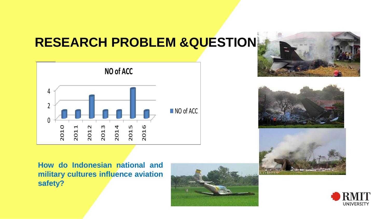## **RESEARCH PROBLEM &QUESTION**









**How do Indonesian national and military cultures influence aviation safety?**



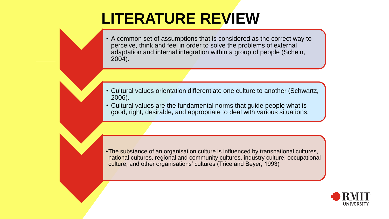## **LITERATURE REVIEW**

• A common set of assumptions that is considered as the correct way to perceive, think and feel in order to solve the problems of external adaptation and internal integration within a group of people (Schein, 2004).

- Cultural values orientation differentiate one culture to another (Schwartz, 2006).
- Cultural values are the fundamental norms that guide people what is good, right, desirable, and appropriate to deal with various situations.

•The substance of an organisation culture is influenced by transnational cultures, national cultures, regional and community cultures, industry culture, occupational culture, and other organisations' cultures (Trice and Beyer, 1993)

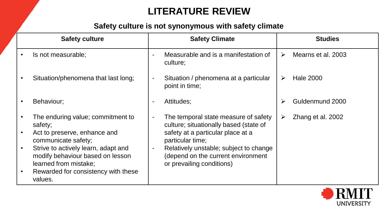## **LITERATURE REVIEW**

#### **Safety culture is not synonymous with safety climate**

|           | <b>Safety culture</b>                                                                                                                                                                                                                                     | <b>Safety Climate</b>                                                                                                                                                                                                                                                                              |   | <b>Studies</b>     |
|-----------|-----------------------------------------------------------------------------------------------------------------------------------------------------------------------------------------------------------------------------------------------------------|----------------------------------------------------------------------------------------------------------------------------------------------------------------------------------------------------------------------------------------------------------------------------------------------------|---|--------------------|
|           | Is not measurable;                                                                                                                                                                                                                                        | Measurable and is a manifestation of<br>$\blacksquare$<br>culture;                                                                                                                                                                                                                                 | ➤ | Mearns et al. 2003 |
|           | Situation/phenomena that last long;                                                                                                                                                                                                                       | Situation / phenomena at a particular<br>$\blacksquare$<br>point in time;                                                                                                                                                                                                                          | ➤ | <b>Hale 2000</b>   |
|           | Behaviour;                                                                                                                                                                                                                                                | Attitudes;<br>$\overline{\phantom{a}}$                                                                                                                                                                                                                                                             |   | Guldenmund 2000    |
| $\bullet$ | The enduring value; commitment to<br>safety;<br>Act to preserve, enhance and<br>communicate safety;<br>Strive to actively learn, adapt and<br>modify behaviour based on lesson<br>learned from mistake;<br>Rewarded for consistency with these<br>values. | The temporal state measure of safety<br>$\overline{\phantom{a}}$<br>culture; situationally based (state of<br>safety at a particular place at a<br>particular time;<br>Relatively unstable; subject to change<br>$\blacksquare$<br>(depend on the current environment<br>or prevailing conditions) | ➤ | Zhang et al. 2002  |

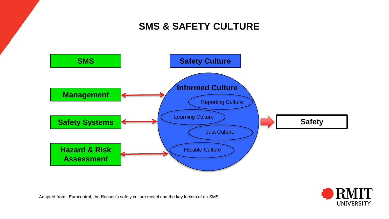## **SMS & SAFETY CULTURE**





Adapted from : Eurocontrol, the Reason's safety culture model and the key factors of an SMS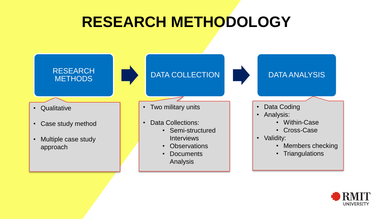# **RESEARCH METHODOLOGY**



- Qualitative
- Case study method
- Multiple case study approach

DATA COLLECTION DATA ANALYSIS

#### • Two military units

- Data Collections:
	- Semi-structured Interviews
	- Observations
	- Documents Analysis

- Data Coding
- Analysis:
	- Within-Case
	- Cross-Case
- Validity:
	- Members checking
	- Triangulations

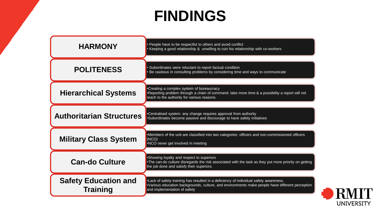## **FINDINGS**

| <b>HARMONY</b>                                 | People have to be respectful to others and avoid conflict<br>Keeping a good relationship & unwilling to ruin his relationship with co-workers                                                                            |
|------------------------------------------------|--------------------------------------------------------------------------------------------------------------------------------------------------------------------------------------------------------------------------|
| <b>POLITENESS</b>                              | Subordinates were reluctant to report factual condition<br>Be cautious in consulting problems by considering time and ways to communicate                                                                                |
| <b>Hierarchical Systems</b>                    | •Creating a complex system of bureaucracy<br>•Reporting problem through a chain of command: take more time & a possibility a report will not<br>reach to the authority for various reasons.                              |
| <b>Authoritarian Structures</b>                | •Centralised system: any change requires approval from authority<br>•Subordinates become passive and discourage to have safety initiatives                                                                               |
| <b>Military Class System</b>                   | •Members of the unit are classified into two categories: officers and non-commissioned officers<br>(NCO)<br>•NCO never get involved in meeting                                                                           |
| <b>Can-do Culture</b>                          | •Showing loyalty and respect to superiors<br>•The can-do culture disregards the risk associated with the task as they put more priority on getting<br>the job done and satisfy their superiors.                          |
| <b>Safety Education and</b><br><b>Training</b> | •Lack of safety training has resulted in a deficiency of individual safety awareness.<br>•Various education backgrounds, culture, and environments make people have different perception<br>and implementation of safety |

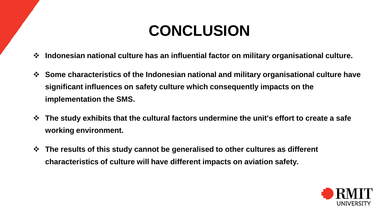# **CONCLUSION**

- **Indonesian national culture has an influential factor on military organisational culture.**
- **Some characteristics of the Indonesian national and military organisational culture have significant influences on safety culture which consequently impacts on the implementation the SMS.**
- **The study exhibits that the cultural factors undermine the unit's effort to create a safe working environment.**
- **The results of this study cannot be generalised to other cultures as different characteristics of culture will have different impacts on aviation safety.**

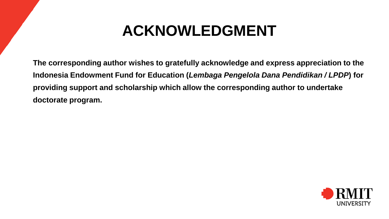## **ACKNOWLEDGMENT**

**The corresponding author wishes to gratefully acknowledge and express appreciation to the Indonesia Endowment Fund for Education (***Lembaga Pengelola Dana Pendidikan / LPDP***) for providing support and scholarship which allow the corresponding author to undertake doctorate program.**